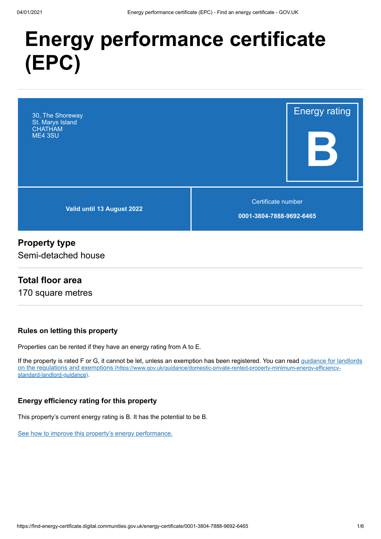# **Energy performance certificate (EPC)**



## **Property type**

Semi-detached house

## **Total floor area**

170 square metres

#### **Rules on letting this property**

Properties can be rented if they have an energy rating from A to E.

[If the property is rated F or G, it cannot be let, unless an exemption has been registered. You can read guidance for landlords](https://www.gov.uk/guidance/domestic-private-rented-property-minimum-energy-efficiency-standard-landlord-guidance) on the regulations and exemptions (https://www.gov.uk/guidance/domestic-private-rented-property-minimum-energy-efficiencystandard-landlord-guidance).

#### **Energy efficiency rating for this property**

This property's current energy rating is B. It has the potential to be B.

[See how to improve this property's energy performance.](#page-3-0)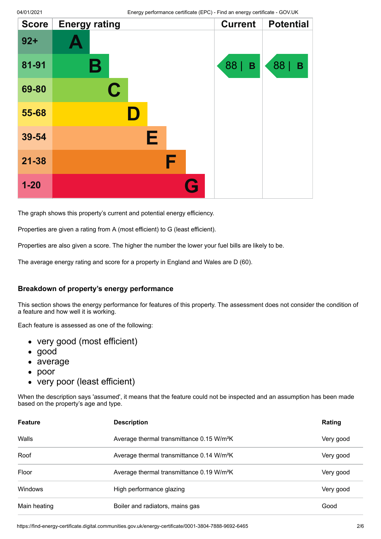| <b>Score</b> | <b>Energy rating</b> |   | <b>Current</b> | <b>Potential</b> |
|--------------|----------------------|---|----------------|------------------|
| $92 +$       |                      |   |                |                  |
| 81-91        | Β                    |   | 88  <br>B      | 88  <br>B        |
| 69-80        | $\mathbf C$          |   |                |                  |
| 55-68        |                      |   |                |                  |
| 39-54        | Е                    |   |                |                  |
| $21 - 38$    | F                    |   |                |                  |
| $1 - 20$     |                      | G |                |                  |

The graph shows this property's current and potential energy efficiency.

Properties are given a rating from A (most efficient) to G (least efficient).

Properties are also given a score. The higher the number the lower your fuel bills are likely to be.

The average energy rating and score for a property in England and Wales are D (60).

#### **Breakdown of property's energy performance**

This section shows the energy performance for features of this property. The assessment does not consider the condition of a feature and how well it is working.

Each feature is assessed as one of the following:

- very good (most efficient)
- good
- average
- $\bullet$ poor
- very poor (least efficient)

When the description says 'assumed', it means that the feature could not be inspected and an assumption has been made based on the property's age and type.

| <b>Feature</b> | <b>Description</b>                                    | Rating    |
|----------------|-------------------------------------------------------|-----------|
| Walls          | Average thermal transmittance 0.15 W/m <sup>2</sup> K | Very good |
| Roof           | Average thermal transmittance 0.14 W/m <sup>2</sup> K | Very good |
| Floor          | Average thermal transmittance 0.19 W/m <sup>2</sup> K | Very good |
| Windows        | High performance glazing                              | Very good |
| Main heating   | Boiler and radiators, mains gas                       | Good      |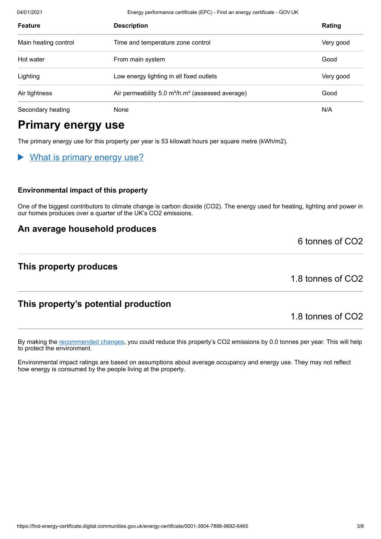04/01/2021 Energy performance certificate (EPC) - Find an energy certificate - GOV.UK

| Feature              | <b>Description</b>                                                       | Rating    |
|----------------------|--------------------------------------------------------------------------|-----------|
| Main heating control | Time and temperature zone control                                        | Very good |
| Hot water            | From main system                                                         | Good      |
| Lighting             | Low energy lighting in all fixed outlets                                 | Very good |
| Air tightness        | Air permeability 5.0 m <sup>3</sup> /h.m <sup>2</sup> (assessed average) | Good      |
| Secondary heating    | None                                                                     | N/A       |

# **Primary energy use**

The primary energy use for this property per year is 53 kilowatt hours per square metre (kWh/m2).

#### What is primary energy use?

#### **Environmental impact of this property**

One of the biggest contributors to climate change is carbon dioxide (CO2). The energy used for heating, lighting and power in our homes produces over a quarter of the UK's CO2 emissions.

#### **An average household produces**

#### **This property produces**

1.8 tonnes of CO2

6 tonnes of CO2

## **This property's potential production**

1.8 tonnes of CO2

By making the [recommended changes](#page-3-0), you could reduce this property's CO2 emissions by 0.0 tonnes per year. This will help to protect the environment.

Environmental impact ratings are based on assumptions about average occupancy and energy use. They may not reflect how energy is consumed by the people living at the property.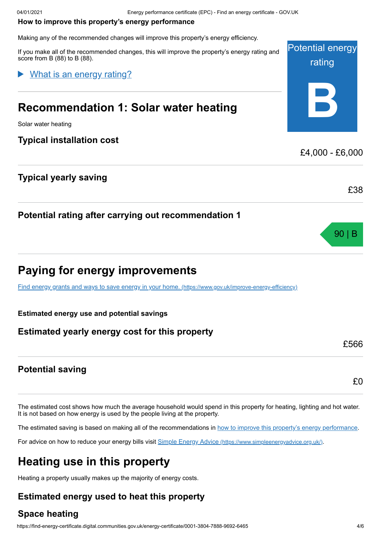#### <span id="page-3-0"></span>**How to improve this property's energy performance**

Making any of the recommended changes will improve this property's energy efficiency.

If you make all of the recommended changes, this will improve the property's energy rating and score from B (88) to B (88).

## What is an energy rating?

# **Recommendation 1: Solar water heating**

Solar water heating

#### **Typical installation cost**

## **Typical yearly saving**

## **Potential rating after carrying out recommendation 1**

# **Paying for energy improvements**

[Find energy grants and ways to save energy in your home.](https://www.gov.uk/improve-energy-efficiency) (https://www.gov.uk/improve-energy-efficiency)

#### **Estimated energy use and potential savings**

## **Estimated yearly energy cost for this property**

## **Potential saving**

The estimated cost shows how much the average household would spend in this property for heating, lighting and hot water. It is not based on how energy is used by the people living at the property.

The estimated saving is based on making all of the recommendations in [how to improve this property's energy performance.](#page-3-0)

For advice on how to reduce your energy bills visit Simple Energy Advice [\(https://www.simpleenergyadvice.org.uk/\)](https://www.simpleenergyadvice.org.uk/).

# **Heating use in this property**

Heating a property usually makes up the majority of energy costs.

## **Estimated energy used to heat this property**

## **Space heating**



90 | B

£38

£566

£0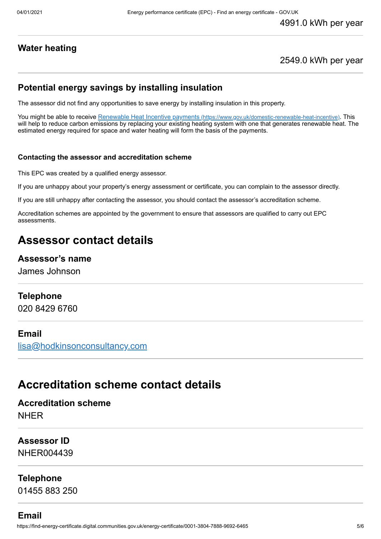## **Water heating**

## 2549.0 kWh per year

## **Potential energy savings by installing insulation**

The assessor did not find any opportunities to save energy by installing insulation in this property.

You might be able to receive Renewable Heat Incentive payments [\(https://www.gov.uk/domestic-renewable-heat-incentive\)](https://www.gov.uk/domestic-renewable-heat-incentive). This will help to reduce carbon emissions by replacing your existing heating system with one that generates renewable heat. The estimated energy required for space and water heating will form the basis of the payments.

#### **Contacting the assessor and accreditation scheme**

This EPC was created by a qualified energy assessor.

If you are unhappy about your property's energy assessment or certificate, you can complain to the assessor directly.

If you are still unhappy after contacting the assessor, you should contact the assessor's accreditation scheme.

Accreditation schemes are appointed by the government to ensure that assessors are qualified to carry out EPC assessments.

# **Assessor contact details**

#### **Assessor's name**

James Johnson

#### **Telephone**

020 8429 6760

#### **Email**

[lisa@hodkinsonconsultancy.com](mailto:lisa@hodkinsonconsultancy.com)

## **Accreditation scheme contact details**

**Accreditation scheme** NHER

**Assessor ID** NHER004439

**Telephone**

01455 883 250